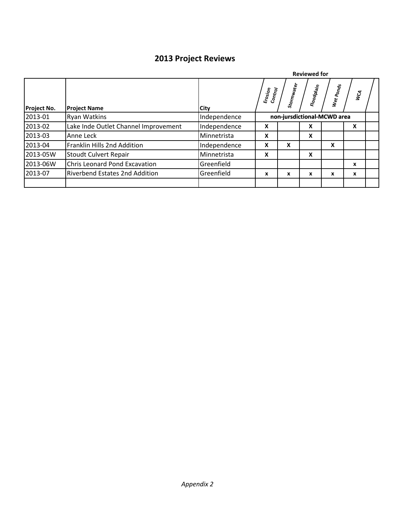## **2013 Project Reviews**

|             |                                      |              | <b>Reviewed for</b>                         |            |            |           |    |  |
|-------------|--------------------------------------|--------------|---------------------------------------------|------------|------------|-----------|----|--|
| Project No. | <b>Project Name</b>                  | <b>City</b>  | $\frac{\epsilon_{rosj_{Op}}}{c_{ontr_{O}}}$ | Stormwater | Floodplain | Wet Ponds | হূ |  |
| 2013-01     | <b>Ryan Watkins</b>                  | Independence | non-jursdictional-MCWD area                 |            |            |           |    |  |
| 2013-02     | Lake Inde Outlet Channel Improvement | Independence | X                                           |            | X          |           | X  |  |
| 2013-03     | Anne Leck                            | Minnetrista  | X                                           |            | X          |           |    |  |
| 2013-04     | Franklin Hills 2nd Addition          | Independence | x                                           | X          |            | X         |    |  |
| 2013-05W    | Stoudt Culvert Repair                | Minnetrista  | X                                           |            | X          |           |    |  |
| 2013-06W    | <b>Chris Leonard Pond Excavation</b> | Greenfield   |                                             |            |            |           | X  |  |
| 2013-07     | Riverbend Estates 2nd Addition       | Greenfield   | x                                           | x          | X          | x         | X  |  |
|             |                                      |              |                                             |            |            |           |    |  |